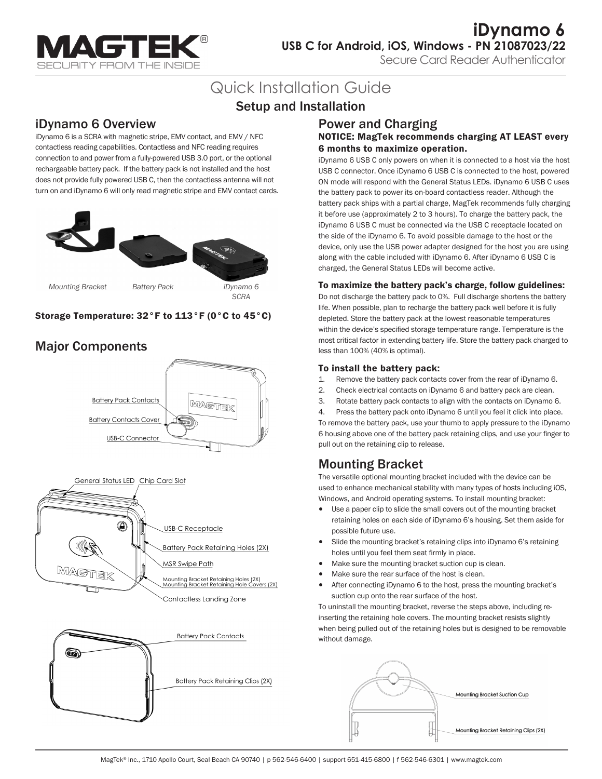

**iDynamo 6 USB C for Android, iOS, Windows - PN 21087023/22**

Secure Card Reader Authenticator

# Quick Installation Guide

# Setup and Installation

# iDynamo 6 Overview

iDynamo 6 is a SCRA with magnetic stripe, EMV contact, and EMV / NFC contactless reading capabilities. Contactless and NFC reading requires connection to and power from a fully-powered USB 3.0 port, or the optional rechargeable battery pack. If the battery pack is not installed and the host does not provide fully powered USB C, then the contactless antenna will not turn on and iDynamo 6 will only read magnetic stripe and EMV contact cards.



#### Storage Temperature: 32°F to 113°F (0°C to 45°C)

# Major Components





Contactless Landing Zone



### Power and Charging

#### NOTICE: MagTek recommends charging AT LEAST every 6 months to maximize operation.

iDynamo 6 USB C only powers on when it is connected to a host via the host USB C connector. Once iDynamo 6 USB C is connected to the host, powered ON mode will respond with the General Status LEDs. iDynamo 6 USB C uses the battery pack to power its on-board contactless reader. Although the battery pack ships with a partial charge, MagTek recommends fully charging it before use (approximately 2 to 3 hours). To charge the battery pack, the iDynamo 6 USB C must be connected via the USB C receptacle located on the side of the iDynamo 6. To avoid possible damage to the host or the device, only use the USB power adapter designed for the host you are using along with the cable included with iDynamo 6. After iDynamo 6 USB C is charged, the General Status LEDs will become active.

#### To maximize the battery pack's charge, follow guidelines:

Do not discharge the battery pack to 0%. Full discharge shortens the battery life. When possible, plan to recharge the battery pack well before it is fully depleted. Store the battery pack at the lowest reasonable temperatures within the device's specified storage temperature range. Temperature is the most critical factor in extending battery life. Store the battery pack charged to less than 100% (40% is optimal).

#### To install the battery pack:

- 1. Remove the battery pack contacts cover from the rear of iDynamo 6.
- 2. Check electrical contacts on iDynamo 6 and battery pack are clean.
- 3. Rotate battery pack contacts to align with the contacts on iDynamo 6.
- 4. Press the battery pack onto iDynamo 6 until you feel it click into place. To remove the battery pack, use your thumb to apply pressure to the iDynamo

6 housing above one of the battery pack retaining clips, and use your finger to pull out on the retaining clip to release.

# Mounting Bracket

The versatile optional mounting bracket included with the device can be used to enhance mechanical stability with many types of hosts including iOS, Windows, and Android operating systems. To install mounting bracket:

- Use a paper clip to slide the small covers out of the mounting bracket retaining holes on each side of iDynamo 6's housing. Set them aside for possible future use.
- Slide the mounting bracket's retaining clips into iDynamo 6's retaining holes until you feel them seat firmly in place.
- Make sure the mounting bracket suction cup is clean.
- Make sure the rear surface of the host is clean.
- After connecting iDynamo 6 to the host, press the mounting bracket's suction cup onto the rear surface of the host.

To uninstall the mounting bracket, reverse the steps above, including reinserting the retaining hole covers. The mounting bracket resists slightly when being pulled out of the retaining holes but is designed to be removable without damage.